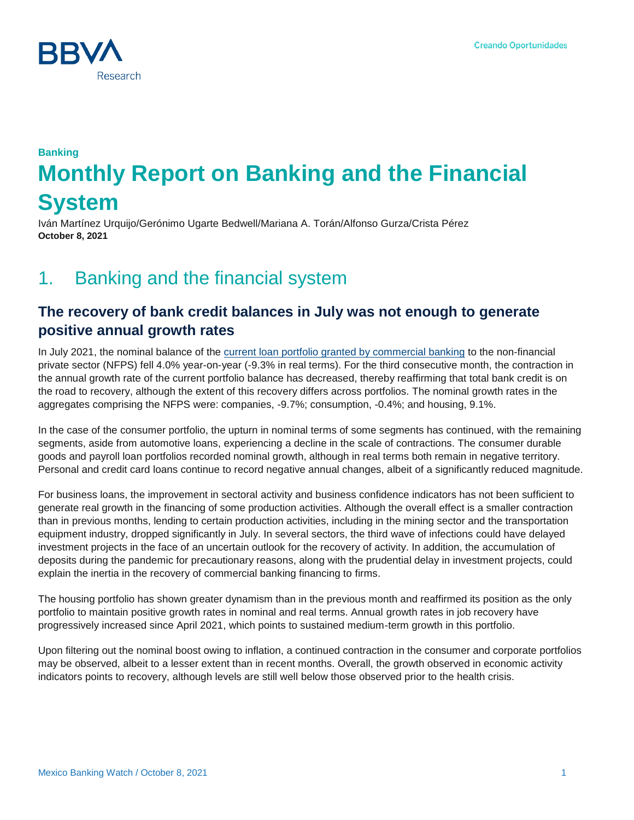

# **Banking Monthly Report on Banking and the Financial System**

Iván Martínez Urquijo/Gerónimo Ugarte Bedwell/Mariana A. Torán/Alfonso Gurza/Crista Pérez **October 8, 2021**

## 1. Banking and the financial system

## **The recovery of bank credit balances in July was not enough to generate positive annual growth rates**

In July 2021, the nominal balance of the [current loan portfolio granted by commercial banking](https://www.bbvaresearch.com/publicaciones/mexico-la-recuperacion-del-credito-bancario-en-julio-aun-no-genero-crecimientos-anuales/) to the non-financial private sector (NFPS) fell 4.0% year-on-year (-9.3% in real terms). For the third consecutive month, the contraction in the annual growth rate of the current portfolio balance has decreased, thereby reaffirming that total bank credit is on the road to recovery, although the extent of this recovery differs across portfolios. The nominal growth rates in the aggregates comprising the NFPS were: companies, -9.7%; consumption, -0.4%; and housing, 9.1%.

In the case of the consumer portfolio, the upturn in nominal terms of some segments has continued, with the remaining segments, aside from automotive loans, experiencing a decline in the scale of contractions. The consumer durable goods and payroll loan portfolios recorded nominal growth, although in real terms both remain in negative territory. Personal and credit card loans continue to record negative annual changes, albeit of a significantly reduced magnitude.

For business loans, the improvement in sectoral activity and business confidence indicators has not been sufficient to generate real growth in the financing of some production activities. Although the overall effect is a smaller contraction than in previous months, lending to certain production activities, including in the mining sector and the transportation equipment industry, dropped significantly in July. In several sectors, the third wave of infections could have delayed investment projects in the face of an uncertain outlook for the recovery of activity. In addition, the accumulation of deposits during the pandemic for precautionary reasons, along with the prudential delay in investment projects, could explain the inertia in the recovery of commercial banking financing to firms.

The housing portfolio has shown greater dynamism than in the previous month and reaffirmed its position as the only portfolio to maintain positive growth rates in nominal and real terms. Annual growth rates in job recovery have progressively increased since April 2021, which points to sustained medium-term growth in this portfolio.

Upon filtering out the nominal boost owing to inflation, a continued contraction in the consumer and corporate portfolios may be observed, albeit to a lesser extent than in recent months. Overall, the growth observed in economic activity indicators points to recovery, although levels are still well below those observed prior to the health crisis.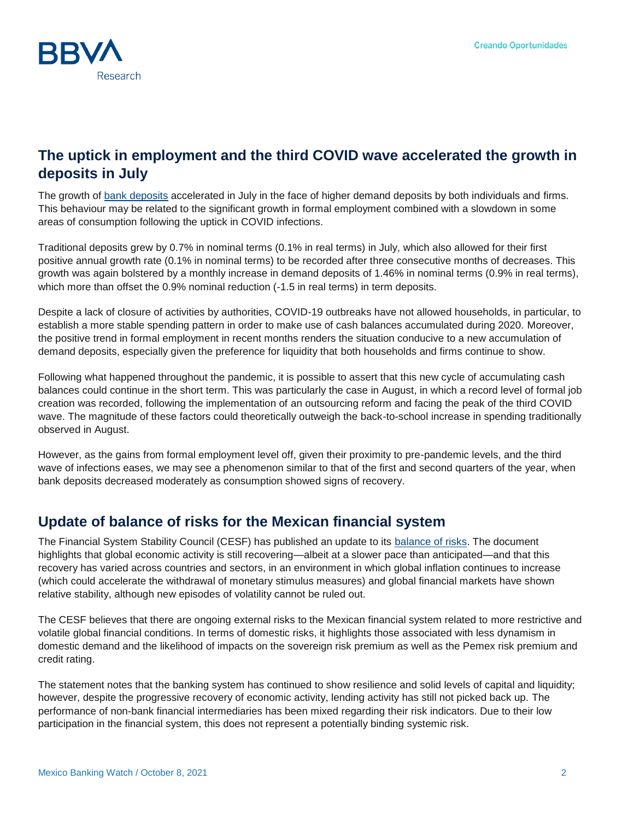

## **The uptick in employment and the third COVID wave accelerated the growth in deposits in July**

The growth of [bank deposits](https://www.bbvaresearch.com/publicaciones/mexico-repunte-del-empleo-y-de-casos-de-covid-fortalecieron-la-captacion-en-julio/) accelerated in July in the face of higher demand deposits by both individuals and firms. This behaviour may be related to the significant growth in formal employment combined with a slowdown in some areas of consumption following the uptick in COVID infections.

Traditional deposits grew by 0.7% in nominal terms (0.1% in real terms) in July, which also allowed for their first positive annual growth rate (0.1% in nominal terms) to be recorded after three consecutive months of decreases. This growth was again bolstered by a monthly increase in demand deposits of 1.46% in nominal terms (0.9% in real terms), which more than offset the 0.9% nominal reduction (-1.5 in real terms) in term deposits.

Despite a lack of closure of activities by authorities, COVID-19 outbreaks have not allowed households, in particular, to establish a more stable spending pattern in order to make use of cash balances accumulated during 2020. Moreover, the positive trend in formal employment in recent months renders the situation conducive to a new accumulation of demand deposits, especially given the preference for liquidity that both households and firms continue to show.

Following what happened throughout the pandemic, it is possible to assert that this new cycle of accumulating cash balances could continue in the short term. This was particularly the case in August, in which a record level of formal job creation was recorded, following the implementation of an outsourcing reform and facing the peak of the third COVID wave. The magnitude of these factors could theoretically outweigh the back-to-school increase in spending traditionally observed in August.

However, as the gains from formal employment level off, given their proximity to pre-pandemic levels, and the third wave of infections eases, we may see a phenomenon similar to that of the first and second quarters of the year, when bank deposits decreased moderately as consumption showed signs of recovery.

### **Update of balance of risks for the Mexican financial system**

The Financial System Stability Council (CESF) has published an update to its [balance of risks.](https://www.banxico.org.mx/publicaciones-y-prensa/miscelaneos/%7B073EFE7F-066A-18AF-A80E-8A34BDC6488E%7D.pdf) The document highlights that global economic activity is still recovering—albeit at a slower pace than anticipated—and that this recovery has varied across countries and sectors, in an environment in which global inflation continues to increase (which could accelerate the withdrawal of monetary stimulus measures) and global financial markets have shown relative stability, although new episodes of volatility cannot be ruled out.

The CESF believes that there are ongoing external risks to the Mexican financial system related to more restrictive and volatile global financial conditions. In terms of domestic risks, it highlights those associated with less dynamism in domestic demand and the likelihood of impacts on the sovereign risk premium as well as the Pemex risk premium and credit rating.

The statement notes that the banking system has continued to show resilience and solid levels of capital and liquidity; however, despite the progressive recovery of economic activity, lending activity has still not picked back up. The performance of non-bank financial intermediaries has been mixed regarding their risk indicators. Due to their low participation in the financial system, this does not represent a potentially binding systemic risk.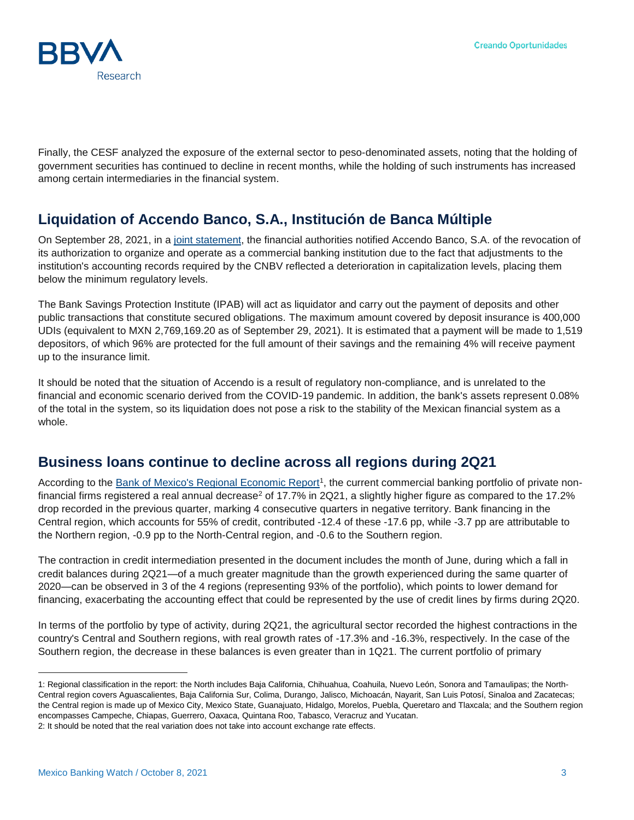

Finally, the CESF analyzed the exposure of the external sector to peso-denominated assets, noting that the holding of government securities has continued to decline in recent months, while the holding of such instruments has increased among certain intermediaries in the financial system.

## **Liquidation of Accendo Banco, S.A., Institución de Banca Múltiple**

On September 28, 2021, in a [joint statement,](https://www.gob.mx/cms/uploads/attachment/file/670510/Comunicado_de_Prensa_97.pdf) the financial authorities notified Accendo Banco, S.A. of the revocation of its authorization to organize and operate as a commercial banking institution due to the fact that adjustments to the institution's accounting records required by the CNBV reflected a deterioration in capitalization levels, placing them below the minimum regulatory levels.

The Bank Savings Protection Institute (IPAB) will act as liquidator and carry out the payment of deposits and other public transactions that constitute secured obligations. The maximum amount covered by deposit insurance is 400,000 UDIs (equivalent to MXN 2,769,169.20 as of September 29, 2021). It is estimated that a payment will be made to 1,519 depositors, of which 96% are protected for the full amount of their savings and the remaining 4% will receive payment up to the insurance limit.

It should be noted that the situation of Accendo is a result of regulatory non-compliance, and is unrelated to the financial and economic scenario derived from the COVID-19 pandemic. In addition, the bank's assets represent 0.08% of the total in the system, so its liquidation does not pose a risk to the stability of the Mexican financial system as a whole.

#### **Business loans continue to decline across all regions during 2Q21**

According to the [Bank of Mexico's Regional Economic Report](https://www.banxico.org.mx/publicaciones-y-prensa/reportes-sobre-las-economias-regionales/%7BA5107075-577B-F335-F4FA-74C51E2B66B4%7D.pdf)<sup>1</sup>, the current commercial banking portfolio of private nonfinancial firms registered a real annual decrease<sup>2</sup> of 17.7% in 2Q21, a slightly higher figure as compared to the 17.2% drop recorded in the previous quarter, marking 4 consecutive quarters in negative territory. Bank financing in the Central region, which accounts for 55% of credit, contributed -12.4 of these -17.6 pp, while -3.7 pp are attributable to the Northern region, -0.9 pp to the North-Central region, and -0.6 to the Southern region.

The contraction in credit intermediation presented in the document includes the month of June, during which a fall in credit balances during 2Q21—of a much greater magnitude than the growth experienced during the same quarter of 2020—can be observed in 3 of the 4 regions (representing 93% of the portfolio), which points to lower demand for financing, exacerbating the accounting effect that could be represented by the use of credit lines by firms during 2Q20.

In terms of the portfolio by type of activity, during 2Q21, the agricultural sector recorded the highest contractions in the country's Central and Southern regions, with real growth rates of -17.3% and -16.3%, respectively. In the case of the Southern region, the decrease in these balances is even greater than in 1Q21. The current portfolio of primary

l

<sup>1:</sup> Regional classification in the report: the North includes Baja California, Chihuahua, Coahuila, Nuevo León, Sonora and Tamaulipas; the North-Central region covers Aguascalientes, Baja California Sur, Colima, Durango, Jalisco, Michoacán, Nayarit, San Luis Potosí, Sinaloa and Zacatecas; the Central region is made up of Mexico City, Mexico State, Guanajuato, Hidalgo, Morelos, Puebla, Queretaro and Tlaxcala; and the Southern region encompasses Campeche, Chiapas, Guerrero, Oaxaca, Quintana Roo, Tabasco, Veracruz and Yucatan. 2: It should be noted that the real variation does not take into account exchange rate effects.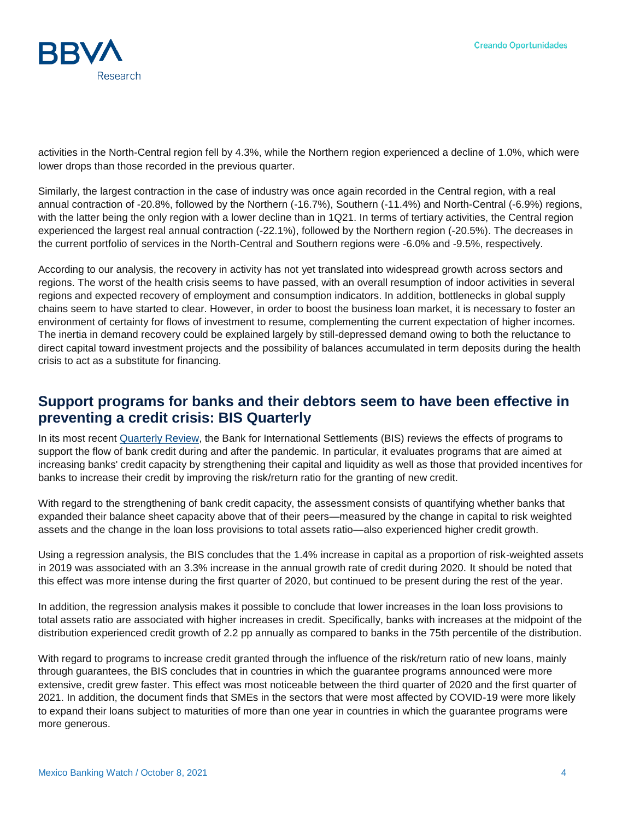

activities in the North-Central region fell by 4.3%, while the Northern region experienced a decline of 1.0%, which were lower drops than those recorded in the previous quarter.

Similarly, the largest contraction in the case of industry was once again recorded in the Central region, with a real annual contraction of -20.8%, followed by the Northern (-16.7%), Southern (-11.4%) and North-Central (-6.9%) regions, with the latter being the only region with a lower decline than in 1Q21. In terms of tertiary activities, the Central region experienced the largest real annual contraction (-22.1%), followed by the Northern region (-20.5%). The decreases in the current portfolio of services in the North-Central and Southern regions were -6.0% and -9.5%, respectively.

According to our analysis, the recovery in activity has not yet translated into widespread growth across sectors and regions. The worst of the health crisis seems to have passed, with an overall resumption of indoor activities in several regions and expected recovery of employment and consumption indicators. In addition, bottlenecks in global supply chains seem to have started to clear. However, in order to boost the business loan market, it is necessary to foster an environment of certainty for flows of investment to resume, complementing the current expectation of higher incomes. The inertia in demand recovery could be explained largely by still-depressed demand owing to both the reluctance to direct capital toward investment projects and the possibility of balances accumulated in term deposits during the health crisis to act as a substitute for financing.

#### **Support programs for banks and their debtors seem to have been effective in preventing a credit crisis: BIS Quarterly**

In its most recent [Quarterly Review,](https://www.bis.org/publ/qtrpdf/r_qt2109.htm) the Bank for International Settlements (BIS) reviews the effects of programs to support the flow of bank credit during and after the pandemic. In particular, it evaluates programs that are aimed at increasing banks' credit capacity by strengthening their capital and liquidity as well as those that provided incentives for banks to increase their credit by improving the risk/return ratio for the granting of new credit.

With regard to the strengthening of bank credit capacity, the assessment consists of quantifying whether banks that expanded their balance sheet capacity above that of their peers—measured by the change in capital to risk weighted assets and the change in the loan loss provisions to total assets ratio—also experienced higher credit growth.

Using a regression analysis, the BIS concludes that the 1.4% increase in capital as a proportion of risk-weighted assets in 2019 was associated with an 3.3% increase in the annual growth rate of credit during 2020. It should be noted that this effect was more intense during the first quarter of 2020, but continued to be present during the rest of the year.

In addition, the regression analysis makes it possible to conclude that lower increases in the loan loss provisions to total assets ratio are associated with higher increases in credit. Specifically, banks with increases at the midpoint of the distribution experienced credit growth of 2.2 pp annually as compared to banks in the 75th percentile of the distribution.

With regard to programs to increase credit granted through the influence of the risk/return ratio of new loans, mainly through guarantees, the BIS concludes that in countries in which the guarantee programs announced were more extensive, credit grew faster. This effect was most noticeable between the third quarter of 2020 and the first quarter of 2021. In addition, the document finds that SMEs in the sectors that were most affected by COVID-19 were more likely to expand their loans subject to maturities of more than one year in countries in which the guarantee programs were more generous.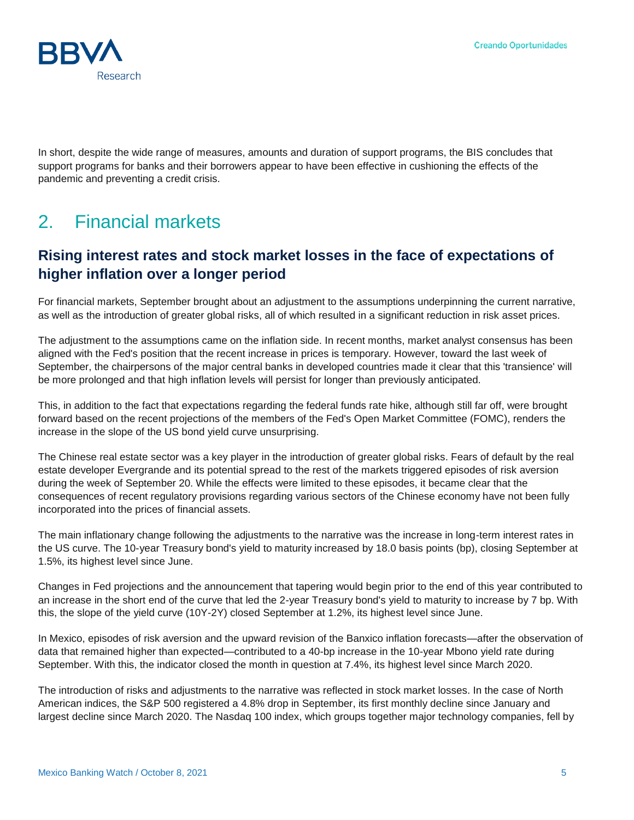

In short, despite the wide range of measures, amounts and duration of support programs, the BIS concludes that support programs for banks and their borrowers appear to have been effective in cushioning the effects of the pandemic and preventing a credit crisis.

## 2. Financial markets

### **Rising interest rates and stock market losses in the face of expectations of higher inflation over a longer period**

For financial markets, September brought about an adjustment to the assumptions underpinning the current narrative, as well as the introduction of greater global risks, all of which resulted in a significant reduction in risk asset prices.

The adjustment to the assumptions came on the inflation side. In recent months, market analyst consensus has been aligned with the Fed's position that the recent increase in prices is temporary. However, toward the last week of September, the chairpersons of the major central banks in developed countries made it clear that this 'transience' will be more prolonged and that high inflation levels will persist for longer than previously anticipated.

This, in addition to the fact that expectations regarding the federal funds rate hike, although still far off, were brought forward based on the recent projections of the members of the Fed's Open Market Committee (FOMC), renders the increase in the slope of the US bond yield curve unsurprising.

The Chinese real estate sector was a key player in the introduction of greater global risks. Fears of default by the real estate developer Evergrande and its potential spread to the rest of the markets triggered episodes of risk aversion during the week of September 20. While the effects were limited to these episodes, it became clear that the consequences of recent regulatory provisions regarding various sectors of the Chinese economy have not been fully incorporated into the prices of financial assets.

The main inflationary change following the adjustments to the narrative was the increase in long-term interest rates in the US curve. The 10-year Treasury bond's yield to maturity increased by 18.0 basis points (bp), closing September at 1.5%, its highest level since June.

Changes in Fed projections and the announcement that tapering would begin prior to the end of this year contributed to an increase in the short end of the curve that led the 2-year Treasury bond's yield to maturity to increase by 7 bp. With this, the slope of the yield curve (10Y-2Y) closed September at 1.2%, its highest level since June.

In Mexico, episodes of risk aversion and the upward revision of the Banxico inflation forecasts—after the observation of data that remained higher than expected—contributed to a 40-bp increase in the 10-year Mbono yield rate during September. With this, the indicator closed the month in question at 7.4%, its highest level since March 2020.

The introduction of risks and adjustments to the narrative was reflected in stock market losses. In the case of North American indices, the S&P 500 registered a 4.8% drop in September, its first monthly decline since January and largest decline since March 2020. The Nasdaq 100 index, which groups together major technology companies, fell by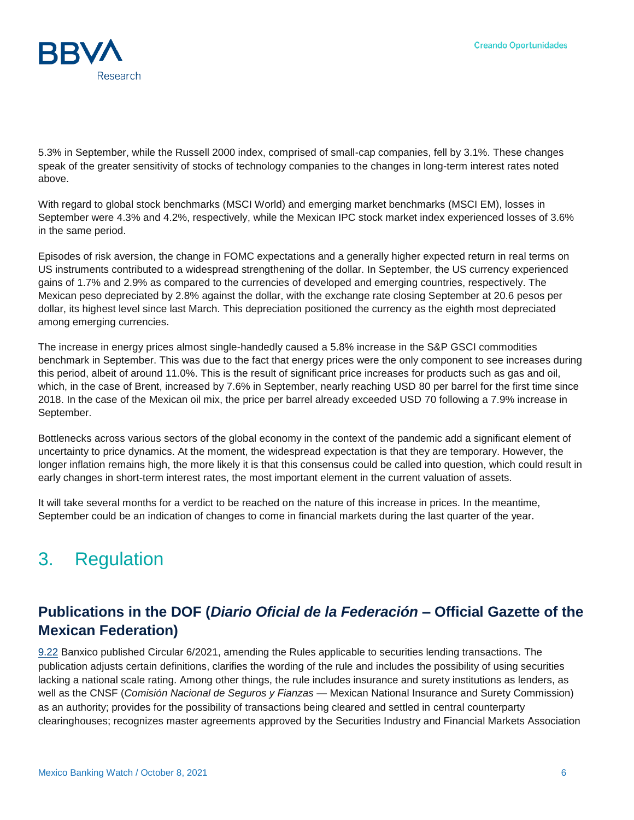

5.3% in September, while the Russell 2000 index, comprised of small-cap companies, fell by 3.1%. These changes speak of the greater sensitivity of stocks of technology companies to the changes in long-term interest rates noted above.

With regard to global stock benchmarks (MSCI World) and emerging market benchmarks (MSCI EM), losses in September were 4.3% and 4.2%, respectively, while the Mexican IPC stock market index experienced losses of 3.6% in the same period.

Episodes of risk aversion, the change in FOMC expectations and a generally higher expected return in real terms on US instruments contributed to a widespread strengthening of the dollar. In September, the US currency experienced gains of 1.7% and 2.9% as compared to the currencies of developed and emerging countries, respectively. The Mexican peso depreciated by 2.8% against the dollar, with the exchange rate closing September at 20.6 pesos per dollar, its highest level since last March. This depreciation positioned the currency as the eighth most depreciated among emerging currencies.

The increase in energy prices almost single-handedly caused a 5.8% increase in the S&P GSCI commodities benchmark in September. This was due to the fact that energy prices were the only component to see increases during this period, albeit of around 11.0%. This is the result of significant price increases for products such as gas and oil, which, in the case of Brent, increased by 7.6% in September, nearly reaching USD 80 per barrel for the first time since 2018. In the case of the Mexican oil mix, the price per barrel already exceeded USD 70 following a 7.9% increase in September.

Bottlenecks across various sectors of the global economy in the context of the pandemic add a significant element of uncertainty to price dynamics. At the moment, the widespread expectation is that they are temporary. However, the longer inflation remains high, the more likely it is that this consensus could be called into question, which could result in early changes in short-term interest rates, the most important element in the current valuation of assets.

It will take several months for a verdict to be reached on the nature of this increase in prices. In the meantime, September could be an indication of changes to come in financial markets during the last quarter of the year.

## 3. Regulation

### **Publications in the DOF (***Diario Oficial de la Federación* **– Official Gazette of the Mexican Federation)**

[9.22](https://www.dof.gob.mx/nota_detalle.php?codigo=5630581&fecha=22/09/2021) Banxico published Circular 6/2021, amending the Rules applicable to securities lending transactions. The publication adjusts certain definitions, clarifies the wording of the rule and includes the possibility of using securities lacking a national scale rating. Among other things, the rule includes insurance and surety institutions as lenders, as well as the CNSF (*Comisión Nacional de Seguros y Fianzas* — Mexican National Insurance and Surety Commission) as an authority; provides for the possibility of transactions being cleared and settled in central counterparty clearinghouses; recognizes master agreements approved by the Securities Industry and Financial Markets Association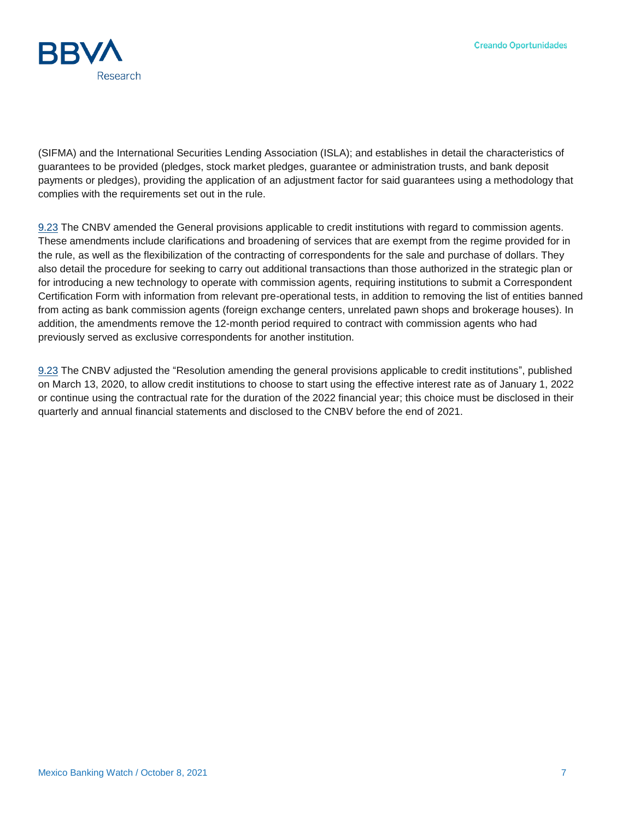

(SIFMA) and the International Securities Lending Association (ISLA); and establishes in detail the characteristics of guarantees to be provided (pledges, stock market pledges, guarantee or administration trusts, and bank deposit payments or pledges), providing the application of an adjustment factor for said guarantees using a methodology that complies with the requirements set out in the rule.

[9.23](https://www.dof.gob.mx/nota_detalle.php?codigo=5630657&fecha=23/09/2021) The CNBV amended the General provisions applicable to credit institutions with regard to commission agents. These amendments include clarifications and broadening of services that are exempt from the regime provided for in the rule, as well as the flexibilization of the contracting of correspondents for the sale and purchase of dollars. They also detail the procedure for seeking to carry out additional transactions than those authorized in the strategic plan or for introducing a new technology to operate with commission agents, requiring institutions to submit a Correspondent Certification Form with information from relevant pre-operational tests, in addition to removing the list of entities banned from acting as bank commission agents (foreign exchange centers, unrelated pawn shops and brokerage houses). In addition, the amendments remove the 12-month period required to contract with commission agents who had previously served as exclusive correspondents for another institution.

[9.23](https://www.dof.gob.mx/nota_detalle.php?codigo=5630656&fecha=23/09/2021) The CNBV adjusted the "Resolution amending the general provisions applicable to credit institutions", published on March 13, 2020, to allow credit institutions to choose to start using the effective interest rate as of January 1, 2022 or continue using the contractual rate for the duration of the 2022 financial year; this choice must be disclosed in their quarterly and annual financial statements and disclosed to the CNBV before the end of 2021.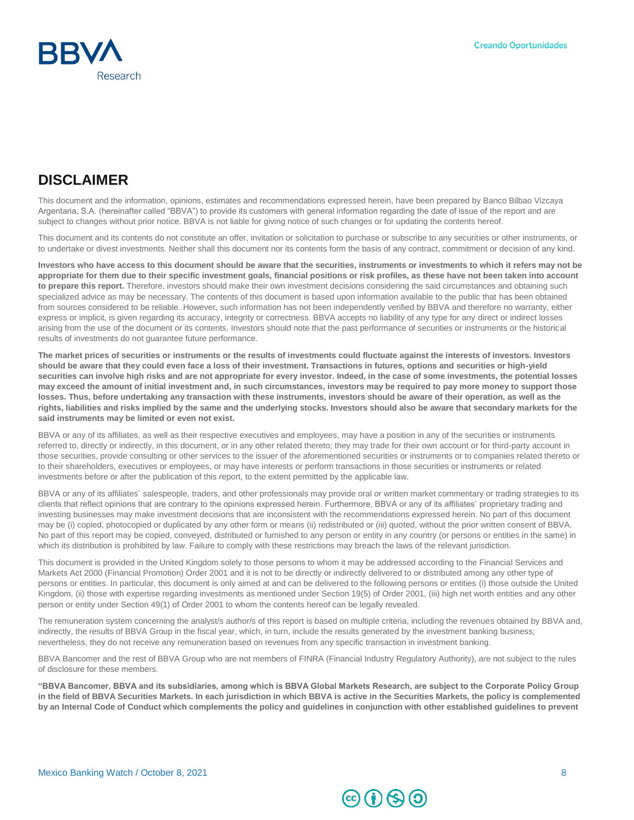

## **DISCLAIMER**

This document and the information, opinions, estimates and recommendations expressed herein, have been prepared by Banco Bilbao Vizcaya Argentaria, S.A. (hereinafter called "BBVA") to provide its customers with general information regarding the date of issue of the report and are subject to changes without prior notice. BBVA is not liable for giving notice of such changes or for updating the contents hereof.

This document and its contents do not constitute an offer, invitation or solicitation to purchase or subscribe to any securities or other instruments, or to undertake or divest investments. Neither shall this document nor its contents form the basis of any contract, commitment or decision of any kind.

**Investors who have access to this document should be aware that the securities, instruments or investments to which it refers may not be appropriate for them due to their specific investment goals, financial positions or risk profiles, as these have not been taken into account to prepare this report.** Therefore, investors should make their own investment decisions considering the said circumstances and obtaining such specialized advice as may be necessary. The contents of this document is based upon information available to the public that has been obtained from sources considered to be reliable. However, such information has not been independently verified by BBVA and therefore no warranty, either express or implicit, is given regarding its accuracy, integrity or correctness. BBVA accepts no liability of any type for any direct or indirect losses arising from the use of the document or its contents. Investors should note that the past performance of securities or instruments or the historical results of investments do not guarantee future performance.

**The market prices of securities or instruments or the results of investments could fluctuate against the interests of investors. Investors should be aware that they could even face a loss of their investment. Transactions in futures, options and securities or high-yield securities can involve high risks and are not appropriate for every investor. Indeed, in the case of some investments, the potential losses may exceed the amount of initial investment and, in such circumstances, investors may be required to pay more money to support those losses. Thus, before undertaking any transaction with these instruments, investors should be aware of their operation, as well as the rights, liabilities and risks implied by the same and the underlying stocks. Investors should also be aware that secondary markets for the said instruments may be limited or even not exist.**

BBVA or any of its affiliates, as well as their respective executives and employees, may have a position in any of the securities or instruments referred to, directly or indirectly, in this document, or in any other related thereto; they may trade for their own account or for third-party account in those securities, provide consulting or other services to the issuer of the aforementioned securities or instruments or to companies related thereto or to their shareholders, executives or employees, or may have interests or perform transactions in those securities or instruments or related investments before or after the publication of this report, to the extent permitted by the applicable law.

BBVA or any of its affiliates´ salespeople, traders, and other professionals may provide oral or written market commentary or trading strategies to its clients that reflect opinions that are contrary to the opinions expressed herein. Furthermore, BBVA or any of its affiliates' proprietary trading and investing businesses may make investment decisions that are inconsistent with the recommendations expressed herein. No part of this document may be (i) copied, photocopied or duplicated by any other form or means (ii) redistributed or (iii) quoted, without the prior written consent of BBVA. No part of this report may be copied, conveyed, distributed or furnished to any person or entity in any country (or persons or entities in the same) in which its distribution is prohibited by law. Failure to comply with these restrictions may breach the laws of the relevant jurisdiction.

This document is provided in the United Kingdom solely to those persons to whom it may be addressed according to the Financial Services and Markets Act 2000 (Financial Promotion) Order 2001 and it is not to be directly or indirectly delivered to or distributed among any other type of persons or entities. In particular, this document is only aimed at and can be delivered to the following persons or entities (i) those outside the United Kingdom, (ii) those with expertise regarding investments as mentioned under Section 19(5) of Order 2001, (iii) high net worth entities and any other person or entity under Section 49(1) of Order 2001 to whom the contents hereof can be legally revealed.

The remuneration system concerning the analyst/s author/s of this report is based on multiple criteria, including the revenues obtained by BBVA and, indirectly, the results of BBVA Group in the fiscal year, which, in turn, include the results generated by the investment banking business; nevertheless, they do not receive any remuneration based on revenues from any specific transaction in investment banking.

BBVA Bancomer and the rest of BBVA Group who are not members of FINRA (Financial Industry Regulatory Authority), are not subject to the rules of disclosure for these members.

**"BBVA Bancomer, BBVA and its subsidiaries, among which is BBVA Global Markets Research, are subject to the Corporate Policy Group in the field of BBVA Securities Markets. In each jurisdiction in which BBVA is active in the Securities Markets, the policy is complemented by an Internal Code of Conduct which complements the policy and guidelines in conjunction with other established guidelines to prevent**